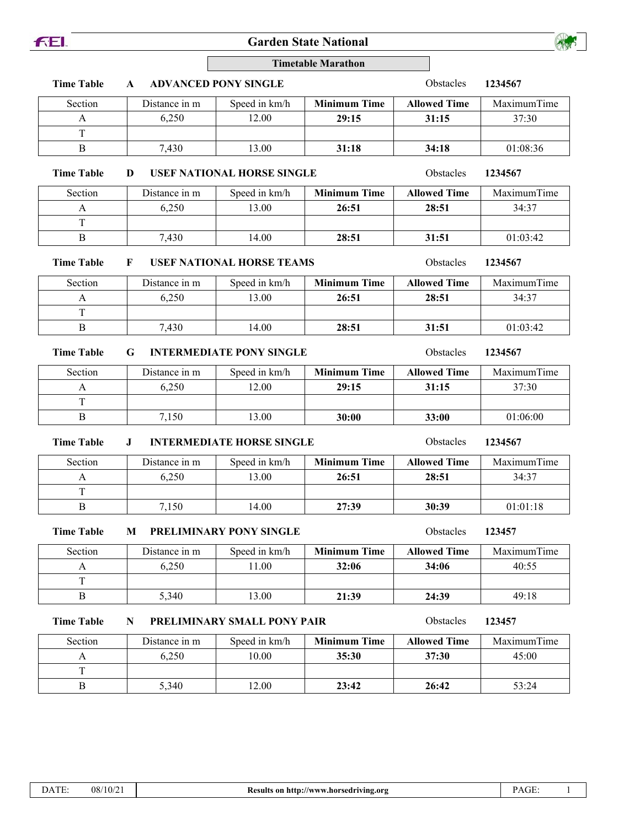### **Garden State National**

|                   |   |                |                      | <b>Timetable Marathon</b> |                  |         |
|-------------------|---|----------------|----------------------|---------------------------|------------------|---------|
| <b>Time Table</b> | A |                | ADVANCED PONY SINGLE |                           | <b>Obstacles</b> | 1234567 |
| Section           |   | Distance in m- | Speed in km/h        | Minimum Time              | Allowed Time     | Maxim   |

| Section | Distance in m | Speed in km/h | <b>Minimum Time</b> | <b>Allowed Time</b> |
|---------|---------------|---------------|---------------------|---------------------|
|         | 6.250         | 12.00         | 29:15               | 31:15               |
|         |               |               |                     |                     |

B 7,430 13.00 **31:18 34:18**

**Time Table D USEF NATIONAL HORSE SINGLE** Obstacles **1234567**

| Section | Distance in m | Speed in km/h | <b>Minimum Time</b> | <b>Allowed Time</b> | MaximumTime |
|---------|---------------|---------------|---------------------|---------------------|-------------|
|         | 6.250         | 13.00         | 26:51               | 28:51               | 34:37       |
|         |               |               |                     |                     |             |
|         | 7,430         | 14.00         | 28:51               | 31:51               | 01:03:42    |

| <b>Time Table</b> |               | <b>USEF NATIONAL HORSE TEAMS</b> |                     | <b>Obstacles</b>    | 1234567     |  |
|-------------------|---------------|----------------------------------|---------------------|---------------------|-------------|--|
| Section           | Distance in m | Speed in km/h                    | <b>Minimum Time</b> | <b>Allowed Time</b> | MaximumTime |  |
| А                 | 6.250         | 13.00                            | 26:51               | 28:51               | 34:37       |  |
| Ţ                 |               |                                  |                     |                     |             |  |
| Β                 | 7.430         | 14.00                            | 28:51               | 31:51               | 01:03:42    |  |

#### **Time Table • G INTERMEDIATE PONY SINGLE CONSTANDER TO PERMISSION CONSTANDER 1234567**

| Section | Distance in m | Speed in km/h | <b>Minimum Time</b> | <b>Allowed Time</b> | MaximumTime |
|---------|---------------|---------------|---------------------|---------------------|-------------|
|         | 6.250         | 12.00         | 29:15               | 31:15               | 37:30       |
|         |               |               |                     |                     |             |
|         | 7,150         | 13.00         | 30:00               | 33:00               | 01:06:00    |

**Time Table J INTERMEDIATE HORSE SINGLE** Obstacles **1234567**

| Section | Distance in m | Speed in km/h | <b>Minimum Time</b> | <b>Allowed Time</b> | MaximumTime |
|---------|---------------|---------------|---------------------|---------------------|-------------|
|         | 6.250         | 13.00         | 26:51               | 28:51               | 34:37       |
|         |               |               |                     |                     |             |
|         | 7,150         | 14.00         | 27:39               | 30:39               | 01:01:18    |

**FEI.** 

**Time Table M PRELIMINARY PONY SINGLE CONSTANT Obstacles 123457** 

| Section | Distance in m | Speed in km/h | <b>Minimum Time</b> | <b>Allowed Time</b> | MaximumTime |
|---------|---------------|---------------|---------------------|---------------------|-------------|
|         | 6.250         | 1.00          | 32:06               | 34:06               | 40:55       |
|         |               |               |                     |                     |             |
|         | 5,340         | .3.00         | 21:39               | 24:39               | 49:18       |

### **Time Table N PRELIMINARY SMALL PONY PAIR** Obstacles **123457**

Section Distance in m Speed in km/h **Minimum Time Allowed Time** A 6,250 10.00 **35:30 37:30** T B 5,340 12.00 **23:42 26:42** MaximumTime 45:00 53:24



37:30

01:08:36